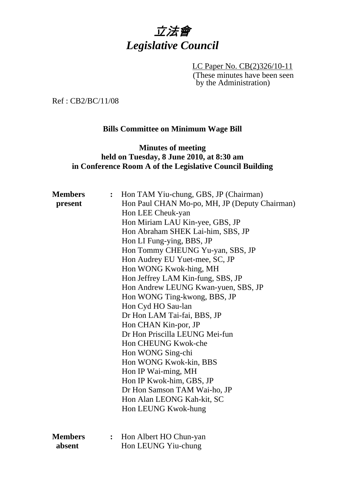

LC Paper No. CB(2)326/10-11 (These minutes have been seen by the Administration)

Ref : CB2/BC/11/08

#### **Bills Committee on Minimum Wage Bill**

## **Minutes of meeting held on Tuesday, 8 June 2010, at 8:30 am in Conference Room A of the Legislative Council Building**

| <b>Members</b> | $\ddot{\cdot}$ | Hon TAM Yiu-chung, GBS, JP (Chairman)         |
|----------------|----------------|-----------------------------------------------|
| present        |                | Hon Paul CHAN Mo-po, MH, JP (Deputy Chairman) |
|                |                | Hon LEE Cheuk-yan                             |
|                |                | Hon Miriam LAU Kin-yee, GBS, JP               |
|                |                | Hon Abraham SHEK Lai-him, SBS, JP             |
|                |                | Hon LI Fung-ying, BBS, JP                     |
|                |                | Hon Tommy CHEUNG Yu-yan, SBS, JP              |
|                |                | Hon Audrey EU Yuet-mee, SC, JP                |
|                |                | Hon WONG Kwok-hing, MH                        |
|                |                | Hon Jeffrey LAM Kin-fung, SBS, JP             |
|                |                | Hon Andrew LEUNG Kwan-yuen, SBS, JP           |
|                |                | Hon WONG Ting-kwong, BBS, JP                  |
|                |                | Hon Cyd HO Sau-lan                            |
|                |                | Dr Hon LAM Tai-fai, BBS, JP                   |
|                |                | Hon CHAN Kin-por, JP                          |
|                |                | Dr Hon Priscilla LEUNG Mei-fun                |
|                |                | Hon CHEUNG Kwok-che                           |
|                |                | Hon WONG Sing-chi                             |
|                |                | Hon WONG Kwok-kin, BBS                        |
|                |                | Hon IP Wai-ming, MH                           |
|                |                | Hon IP Kwok-him, GBS, JP                      |
|                |                | Dr Hon Samson TAM Wai-ho, JP                  |
|                |                | Hon Alan LEONG Kah-kit, SC                    |
|                |                | Hon LEUNG Kwok-hung                           |
|                |                |                                               |
| <b>Members</b> | $\ddot{\cdot}$ | Hon Albert HO Chun-yan                        |
| absent         |                | Hon LEUNG Yiu-chung                           |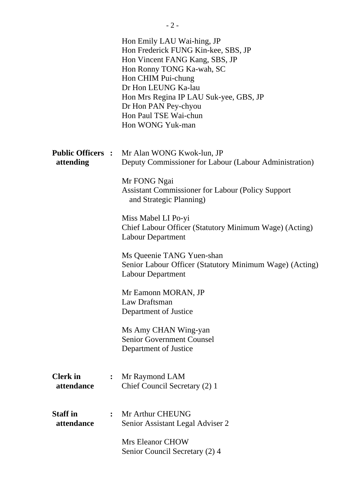|                               |                | Hon Emily LAU Wai-hing, JP<br>Hon Frederick FUNG Kin-kee, SBS, JP<br>Hon Vincent FANG Kang, SBS, JP<br>Hon Ronny TONG Ka-wah, SC<br>Hon CHIM Pui-chung<br>Dr Hon LEUNG Ka-lau<br>Hon Mrs Regina IP LAU Suk-yee, GBS, JP<br>Dr Hon PAN Pey-chyou<br>Hon Paul TSE Wai-chun<br>Hon WONG Yuk-man |
|-------------------------------|----------------|----------------------------------------------------------------------------------------------------------------------------------------------------------------------------------------------------------------------------------------------------------------------------------------------|
| attending                     |                | Public Officers: Mr Alan WONG Kwok-lun, JP<br>Deputy Commissioner for Labour (Labour Administration)                                                                                                                                                                                         |
|                               |                | Mr FONG Ngai<br><b>Assistant Commissioner for Labour (Policy Support)</b><br>and Strategic Planning)                                                                                                                                                                                         |
|                               |                | Miss Mabel LI Po-yi<br>Chief Labour Officer (Statutory Minimum Wage) (Acting)<br><b>Labour Department</b>                                                                                                                                                                                    |
|                               |                | Ms Queenie TANG Yuen-shan<br>Senior Labour Officer (Statutory Minimum Wage) (Acting)<br><b>Labour Department</b>                                                                                                                                                                             |
|                               |                | Mr Eamonn MORAN, JP<br>Law Draftsman<br>Department of Justice                                                                                                                                                                                                                                |
|                               |                | Ms Amy CHAN Wing-yan<br><b>Senior Government Counsel</b><br>Department of Justice                                                                                                                                                                                                            |
| <b>Clerk</b> in<br>attendance |                | Mr Raymond LAM<br>Chief Council Secretary (2) 1                                                                                                                                                                                                                                              |
| <b>Staff</b> in<br>attendance | $\ddot{\cdot}$ | Mr Arthur CHEUNG<br>Senior Assistant Legal Adviser 2                                                                                                                                                                                                                                         |
|                               |                | <b>Mrs Eleanor CHOW</b><br>Senior Council Secretary (2) 4                                                                                                                                                                                                                                    |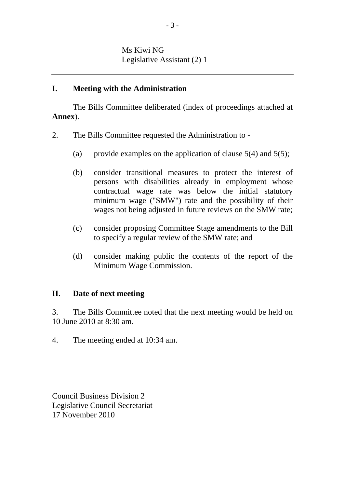### **I. Meeting with the Administration**

The Bills Committee deliberated (index of proceedings attached at **Annex**).

- 2. The Bills Committee requested the Administration to
	- (a) provide examples on the application of clause  $5(4)$  and  $5(5)$ ;
	- (b) consider transitional measures to protect the interest of persons with disabilities already in employment whose contractual wage rate was below the initial statutory minimum wage ("SMW") rate and the possibility of their wages not being adjusted in future reviews on the SMW rate;
	- (c) consider proposing Committee Stage amendments to the Bill to specify a regular review of the SMW rate; and
	- (d) consider making public the contents of the report of the Minimum Wage Commission.

### **II. Date of next meeting**

3. The Bills Committee noted that the next meeting would be held on 10 June 2010 at 8:30 am.

4. The meeting ended at 10:34 am.

Council Business Division 2 Legislative Council Secretariat 17 November 2010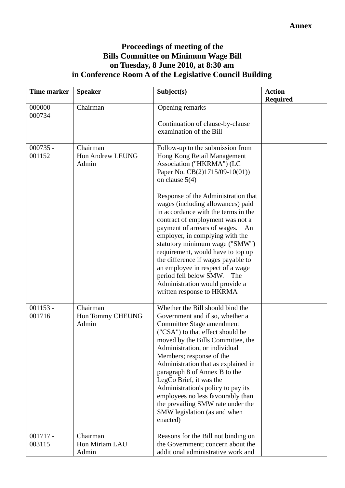# **Proceedings of meeting of the Bills Committee on Minimum Wage Bill on Tuesday, 8 June 2010, at 8:30 am in Conference Room A of the Legislative Council Building**

| Time marker          | <b>Speaker</b>                        | Subject(s)                                                                                                                                                                                                                                                                                                                                                                                                                                                                                                                                                                                                                          | <b>Action</b><br><b>Required</b> |
|----------------------|---------------------------------------|-------------------------------------------------------------------------------------------------------------------------------------------------------------------------------------------------------------------------------------------------------------------------------------------------------------------------------------------------------------------------------------------------------------------------------------------------------------------------------------------------------------------------------------------------------------------------------------------------------------------------------------|----------------------------------|
| $000000 -$<br>000734 | Chairman                              | Opening remarks<br>Continuation of clause-by-clause<br>examination of the Bill                                                                                                                                                                                                                                                                                                                                                                                                                                                                                                                                                      |                                  |
| $000735 -$<br>001152 | Chairman<br>Hon Andrew LEUNG<br>Admin | Follow-up to the submission from<br>Hong Kong Retail Management<br>Association ("HKRMA") (LC<br>Paper No. CB(2)1715/09-10(01))<br>on clause $5(4)$<br>Response of the Administration that<br>wages (including allowances) paid<br>in accordance with the terms in the<br>contract of employment was not a<br>payment of arrears of wages.<br>An<br>employer, in complying with the<br>statutory minimum wage ("SMW")<br>requirement, would have to top up<br>the difference if wages payable to<br>an employee in respect of a wage<br>period fell below SMW.<br>The<br>Administration would provide a<br>written response to HKRMA |                                  |
| $001153 -$<br>001716 | Chairman<br>Hon Tommy CHEUNG<br>Admin | Whether the Bill should bind the<br>Government and if so, whether a<br>Committee Stage amendment<br>("CSA") to that effect should be<br>moved by the Bills Committee, the<br>Administration, or individual<br>Members; response of the<br>Administration that as explained in<br>paragraph 8 of Annex B to the<br>LegCo Brief, it was the<br>Administration's policy to pay its<br>employees no less favourably than<br>the prevailing SMW rate under the<br>SMW legislation (as and when<br>enacted)                                                                                                                               |                                  |
| $001717 -$<br>003115 | Chairman<br>Hon Miriam LAU<br>Admin   | Reasons for the Bill not binding on<br>the Government; concern about the<br>additional administrative work and                                                                                                                                                                                                                                                                                                                                                                                                                                                                                                                      |                                  |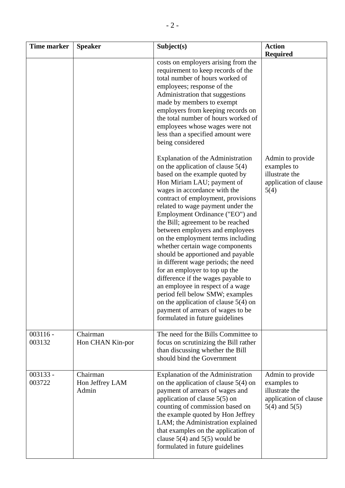| <b>Time marker</b>   | <b>Speaker</b>                       | Subject(s)                                                                                                                                                                                                                                                                                                                                                                                                                                                                                                                                                                                                                                                                                                                                                                         | <b>Action</b>                                                                                   |
|----------------------|--------------------------------------|------------------------------------------------------------------------------------------------------------------------------------------------------------------------------------------------------------------------------------------------------------------------------------------------------------------------------------------------------------------------------------------------------------------------------------------------------------------------------------------------------------------------------------------------------------------------------------------------------------------------------------------------------------------------------------------------------------------------------------------------------------------------------------|-------------------------------------------------------------------------------------------------|
|                      |                                      | costs on employers arising from the<br>requirement to keep records of the<br>total number of hours worked of<br>employees; response of the<br>Administration that suggestions<br>made by members to exempt<br>employers from keeping records on<br>the total number of hours worked of<br>employees whose wages were not<br>less than a specified amount were<br>being considered                                                                                                                                                                                                                                                                                                                                                                                                  | <b>Required</b>                                                                                 |
|                      |                                      | Explanation of the Administration<br>on the application of clause $5(4)$<br>based on the example quoted by<br>Hon Miriam LAU; payment of<br>wages in accordance with the<br>contract of employment, provisions<br>related to wage payment under the<br>Employment Ordinance ("EO") and<br>the Bill; agreement to be reached<br>between employers and employees<br>on the employment terms including<br>whether certain wage components<br>should be apportioned and payable<br>in different wage periods; the need<br>for an employer to top up the<br>difference if the wages payable to<br>an employee in respect of a wage<br>period fell below SMW; examples<br>on the application of clause $5(4)$ on<br>payment of arrears of wages to be<br>formulated in future guidelines | Admin to provide<br>examples to<br>illustrate the<br>application of clause<br>5(4)              |
| $003116 -$<br>003132 | Chairman<br>Hon CHAN Kin-por         | The need for the Bills Committee to<br>focus on scrutinizing the Bill rather<br>than discussing whether the Bill<br>should bind the Government                                                                                                                                                                                                                                                                                                                                                                                                                                                                                                                                                                                                                                     |                                                                                                 |
| $003133 -$<br>003722 | Chairman<br>Hon Jeffrey LAM<br>Admin | <b>Explanation of the Administration</b><br>on the application of clause $5(4)$ on<br>payment of arrears of wages and<br>application of clause $5(5)$ on<br>counting of commission based on<br>the example quoted by Hon Jeffrey<br>LAM; the Administration explained<br>that examples on the application of<br>clause $5(4)$ and $5(5)$ would be<br>formulated in future guidelines                                                                                                                                                                                                                                                                                                                                                                                               | Admin to provide<br>examples to<br>illustrate the<br>application of clause<br>$5(4)$ and $5(5)$ |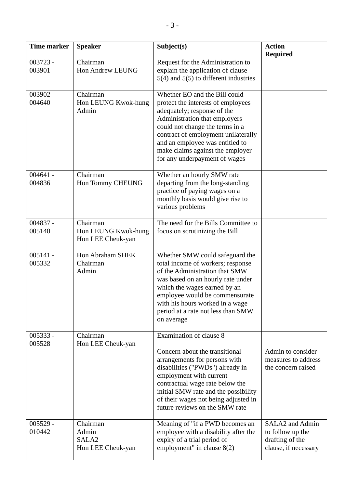| <b>Time marker</b>   | <b>Speaker</b>                                              | Subject(s)                                                                                                                                                                                                                                                                                                            | <b>Action</b><br><b>Required</b>                                               |
|----------------------|-------------------------------------------------------------|-----------------------------------------------------------------------------------------------------------------------------------------------------------------------------------------------------------------------------------------------------------------------------------------------------------------------|--------------------------------------------------------------------------------|
| 003723 -<br>003901   | Chairman<br><b>Hon Andrew LEUNG</b>                         | Request for the Administration to<br>explain the application of clause<br>$5(4)$ and $5(5)$ to different industries                                                                                                                                                                                                   |                                                                                |
| 003902 -<br>004640   | Chairman<br>Hon LEUNG Kwok-hung<br>Admin                    | Whether EO and the Bill could<br>protect the interests of employees<br>adequately; response of the<br>Administration that employers<br>could not change the terms in a<br>contract of employment unilaterally<br>and an employee was entitled to<br>make claims against the employer<br>for any underpayment of wages |                                                                                |
| $004641 -$<br>004836 | Chairman<br>Hon Tommy CHEUNG                                | Whether an hourly SMW rate<br>departing from the long-standing<br>practice of paying wages on a<br>monthly basis would give rise to<br>various problems                                                                                                                                                               |                                                                                |
| 004837 -<br>005140   | Chairman<br>Hon LEUNG Kwok-hung<br>Hon LEE Cheuk-yan        | The need for the Bills Committee to<br>focus on scrutinizing the Bill                                                                                                                                                                                                                                                 |                                                                                |
| $005141 -$<br>005332 | Hon Abraham SHEK<br>Chairman<br>Admin                       | Whether SMW could safeguard the<br>total income of workers; response<br>of the Administration that SMW<br>was based on an hourly rate under<br>which the wages earned by an<br>employee would be commensurate<br>with his hours worked in a wage<br>period at a rate not less than SMW<br>on average                  |                                                                                |
| $005333 -$<br>005528 | Chairman<br>Hon LEE Cheuk-yan                               | Examination of clause 8<br>Concern about the transitional<br>arrangements for persons with<br>disabilities ("PWDs") already in<br>employment with current<br>contractual wage rate below the<br>initial SMW rate and the possibility<br>of their wages not being adjusted in<br>future reviews on the SMW rate        | Admin to consider<br>measures to address<br>the concern raised                 |
| $005529 -$<br>010442 | Chairman<br>Admin<br>SALA <sub>2</sub><br>Hon LEE Cheuk-yan | Meaning of "if a PWD becomes an<br>employee with a disability after the<br>expiry of a trial period of<br>employment" in clause $8(2)$                                                                                                                                                                                | SALA2 and Admin<br>to follow up the<br>drafting of the<br>clause, if necessary |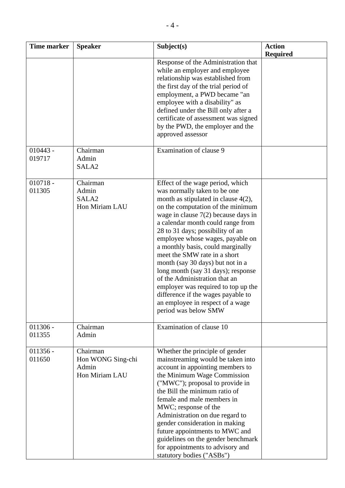| <b>Time marker</b>   | <b>Speaker</b>                                           | Subject(s)                                                                                                                                                                                                                                                                                                                                                                                                                                                                                                                                                                                                                     | <b>Action</b><br><b>Required</b> |
|----------------------|----------------------------------------------------------|--------------------------------------------------------------------------------------------------------------------------------------------------------------------------------------------------------------------------------------------------------------------------------------------------------------------------------------------------------------------------------------------------------------------------------------------------------------------------------------------------------------------------------------------------------------------------------------------------------------------------------|----------------------------------|
|                      |                                                          | Response of the Administration that<br>while an employer and employee<br>relationship was established from<br>the first day of the trial period of<br>employment, a PWD became "an<br>employee with a disability" as<br>defined under the Bill only after a<br>certificate of assessment was signed<br>by the PWD, the employer and the<br>approved assessor                                                                                                                                                                                                                                                                   |                                  |
| $010443 -$<br>019717 | Chairman<br>Admin<br>SALA <sub>2</sub>                   | Examination of clause 9                                                                                                                                                                                                                                                                                                                                                                                                                                                                                                                                                                                                        |                                  |
| $010718 -$<br>011305 | Chairman<br>Admin<br>SALA <sub>2</sub><br>Hon Miriam LAU | Effect of the wage period, which<br>was normally taken to be one<br>month as stipulated in clause $4(2)$ ,<br>on the computation of the minimum<br>wage in clause $7(2)$ because days in<br>a calendar month could range from<br>28 to 31 days; possibility of an<br>employee whose wages, payable on<br>a monthly basis, could marginally<br>meet the SMW rate in a short<br>month (say 30 days) but not in a<br>long month (say 31 days); response<br>of the Administration that an<br>employer was required to top up the<br>difference if the wages payable to<br>an employee in respect of a wage<br>period was below SMW |                                  |
| $011306 -$<br>011355 | Chairman<br>Admin                                        | Examination of clause 10                                                                                                                                                                                                                                                                                                                                                                                                                                                                                                                                                                                                       |                                  |
| $011356 -$<br>011650 | Chairman<br>Hon WONG Sing-chi<br>Admin<br>Hon Miriam LAU | Whether the principle of gender<br>mainstreaming would be taken into<br>account in appointing members to<br>the Minimum Wage Commission<br>("MWC"); proposal to provide in<br>the Bill the minimum ratio of<br>female and male members in<br>MWC; response of the<br>Administration on due regard to<br>gender consideration in making<br>future appointments to MWC and<br>guidelines on the gender benchmark<br>for appointments to advisory and<br>statutory bodies ("ASBs")                                                                                                                                                |                                  |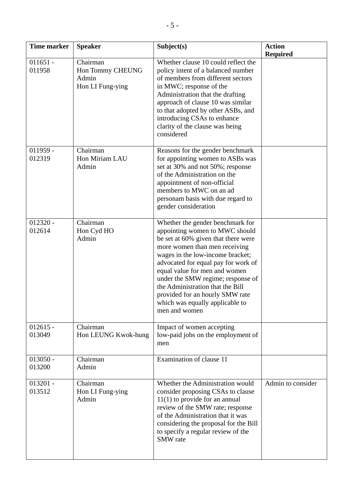| <b>Time marker</b>   | <b>Speaker</b>                                            | Subject(s)                                                                                                                                                                                                                                                                                                                                                                                                             | <b>Action</b><br><b>Required</b> |
|----------------------|-----------------------------------------------------------|------------------------------------------------------------------------------------------------------------------------------------------------------------------------------------------------------------------------------------------------------------------------------------------------------------------------------------------------------------------------------------------------------------------------|----------------------------------|
| $011651 -$<br>011958 | Chairman<br>Hon Tommy CHEUNG<br>Admin<br>Hon LI Fung-ying | Whether clause 10 could reflect the<br>policy intent of a balanced number<br>of members from different sectors<br>in MWC; response of the<br>Administration that the drafting<br>approach of clause 10 was similar<br>to that adopted by other ASBs, and<br>introducing CSAs to enhance<br>clarity of the clause was being<br>considered                                                                               |                                  |
| $011959 -$<br>012319 | Chairman<br>Hon Miriam LAU<br>Admin                       | Reasons for the gender benchmark<br>for appointing women to ASBs was<br>set at 30% and not 50%; response<br>of the Administration on the<br>appointment of non-official<br>members to MWC on an ad<br>personam basis with due regard to<br>gender consideration                                                                                                                                                        |                                  |
| $012320 -$<br>012614 | Chairman<br>Hon Cyd HO<br>Admin                           | Whether the gender benchmark for<br>appointing women to MWC should<br>be set at 60% given that there were<br>more women than men receiving<br>wages in the low-income bracket;<br>advocated for equal pay for work of<br>equal value for men and women<br>under the SMW regime; response of<br>the Administration that the Bill<br>provided for an hourly SMW rate<br>which was equally applicable to<br>men and women |                                  |
| $012615 -$<br>013049 | Chairman<br>Hon LEUNG Kwok-hung                           | Impact of women accepting<br>low-paid jobs on the employment of<br>men                                                                                                                                                                                                                                                                                                                                                 |                                  |
| $013050 -$<br>013200 | Chairman<br>Admin                                         | Examination of clause 11                                                                                                                                                                                                                                                                                                                                                                                               |                                  |
| $013201 -$<br>013512 | Chairman<br>Hon LI Fung-ying<br>Admin                     | Whether the Administration would<br>consider proposing CSAs to clause<br>$11(1)$ to provide for an annual<br>review of the SMW rate; response<br>of the Administration that it was<br>considering the proposal for the Bill<br>to specify a regular review of the<br>SMW rate                                                                                                                                          | Admin to consider                |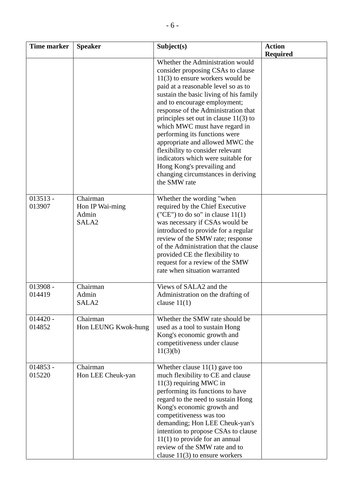| <b>Time marker</b>   | <b>Speaker</b>                                            | Subject(s)                                                                                                                                                                                                                                                                                                                                                                                                                                                                                                                                                                        | <b>Action</b>   |
|----------------------|-----------------------------------------------------------|-----------------------------------------------------------------------------------------------------------------------------------------------------------------------------------------------------------------------------------------------------------------------------------------------------------------------------------------------------------------------------------------------------------------------------------------------------------------------------------------------------------------------------------------------------------------------------------|-----------------|
|                      |                                                           |                                                                                                                                                                                                                                                                                                                                                                                                                                                                                                                                                                                   | <b>Required</b> |
|                      |                                                           | Whether the Administration would<br>consider proposing CSAs to clause<br>$11(3)$ to ensure workers would be<br>paid at a reasonable level so as to<br>sustain the basic living of his family<br>and to encourage employment;<br>response of the Administration that<br>principles set out in clause $11(3)$ to<br>which MWC must have regard in<br>performing its functions were<br>appropriate and allowed MWC the<br>flexibility to consider relevant<br>indicators which were suitable for<br>Hong Kong's prevailing and<br>changing circumstances in deriving<br>the SMW rate |                 |
| $013513 -$<br>013907 | Chairman<br>Hon IP Wai-ming<br>Admin<br>SALA <sub>2</sub> | Whether the wording "when<br>required by the Chief Executive<br>("CE") to do so" in clause $11(1)$<br>was necessary if CSAs would be<br>introduced to provide for a regular<br>review of the SMW rate; response<br>of the Administration that the clause<br>provided CE the flexibility to<br>request for a review of the SMW<br>rate when situation warranted                                                                                                                                                                                                                    |                 |
| $013908 -$<br>014419 | Chairman<br>Admin<br>SALA <sub>2</sub>                    | Views of SALA2 and the<br>Administration on the drafting of<br>clause $11(1)$                                                                                                                                                                                                                                                                                                                                                                                                                                                                                                     |                 |
| $014420 -$<br>014852 | Chairman<br>Hon LEUNG Kwok-hung                           | Whether the SMW rate should be<br>used as a tool to sustain Hong<br>Kong's economic growth and<br>competitiveness under clause<br>11(3)(b)                                                                                                                                                                                                                                                                                                                                                                                                                                        |                 |
| $014853 -$<br>015220 | Chairman<br>Hon LEE Cheuk-yan                             | Whether clause $11(1)$ gave too<br>much flexibility to CE and clause<br>$11(3)$ requiring MWC in<br>performing its functions to have<br>regard to the need to sustain Hong<br>Kong's economic growth and<br>competitiveness was too<br>demanding; Hon LEE Cheuk-yan's<br>intention to propose CSAs to clause<br>$11(1)$ to provide for an annual<br>review of the SMW rate and to<br>clause $11(3)$ to ensure workers                                                                                                                                                             |                 |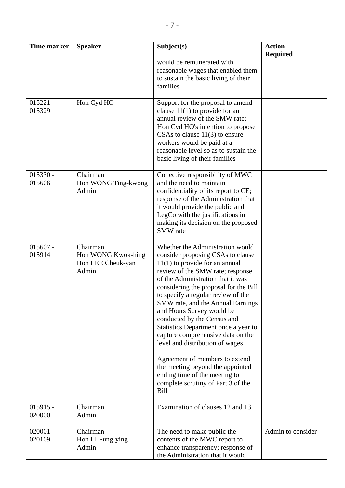| <b>Time marker</b>   | <b>Speaker</b>                                               | Subject(s)                                                                                                                                                                                                                                                                                                                                                                                                                                                                                                                                                                                                                                     | <b>Action</b><br><b>Required</b> |
|----------------------|--------------------------------------------------------------|------------------------------------------------------------------------------------------------------------------------------------------------------------------------------------------------------------------------------------------------------------------------------------------------------------------------------------------------------------------------------------------------------------------------------------------------------------------------------------------------------------------------------------------------------------------------------------------------------------------------------------------------|----------------------------------|
|                      |                                                              | would be remunerated with<br>reasonable wages that enabled them<br>to sustain the basic living of their<br>families                                                                                                                                                                                                                                                                                                                                                                                                                                                                                                                            |                                  |
| $015221 -$<br>015329 | Hon Cyd HO                                                   | Support for the proposal to amend<br>clause $11(1)$ to provide for an<br>annual review of the SMW rate;<br>Hon Cyd HO's intention to propose<br>CSAs to clause $11(3)$ to ensure<br>workers would be paid at a<br>reasonable level so as to sustain the<br>basic living of their families                                                                                                                                                                                                                                                                                                                                                      |                                  |
| $015330 -$<br>015606 | Chairman<br>Hon WONG Ting-kwong<br>Admin                     | Collective responsibility of MWC<br>and the need to maintain<br>confidentiality of its report to CE;<br>response of the Administration that<br>it would provide the public and<br>LegCo with the justifications in<br>making its decision on the proposed<br>SMW rate                                                                                                                                                                                                                                                                                                                                                                          |                                  |
| $015607 -$<br>015914 | Chairman<br>Hon WONG Kwok-hing<br>Hon LEE Cheuk-yan<br>Admin | Whether the Administration would<br>consider proposing CSAs to clause<br>$11(1)$ to provide for an annual<br>review of the SMW rate; response<br>of the Administration that it was<br>considering the proposal for the Bill<br>to specify a regular review of the<br>SMW rate, and the Annual Earnings<br>and Hours Survey would be<br>conducted by the Census and<br>Statistics Department once a year to<br>capture comprehensive data on the<br>level and distribution of wages<br>Agreement of members to extend<br>the meeting beyond the appointed<br>ending time of the meeting to<br>complete scrutiny of Part 3 of the<br><b>Bill</b> |                                  |
| $015915 -$<br>020000 | Chairman<br>Admin                                            | Examination of clauses 12 and 13                                                                                                                                                                                                                                                                                                                                                                                                                                                                                                                                                                                                               |                                  |
| $020001 -$<br>020109 | Chairman<br>Hon LI Fung-ying<br>Admin                        | The need to make public the<br>contents of the MWC report to<br>enhance transparency; response of<br>the Administration that it would                                                                                                                                                                                                                                                                                                                                                                                                                                                                                                          | Admin to consider                |